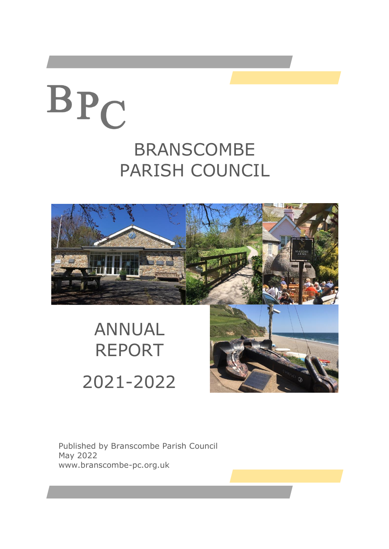# BPC

### BRANSCOMBE PARISH COUNCIL



## ANNUAL REPORT 2021-2022

Published by Branscombe Parish Council May 2022 www.branscombe-pc.org.uk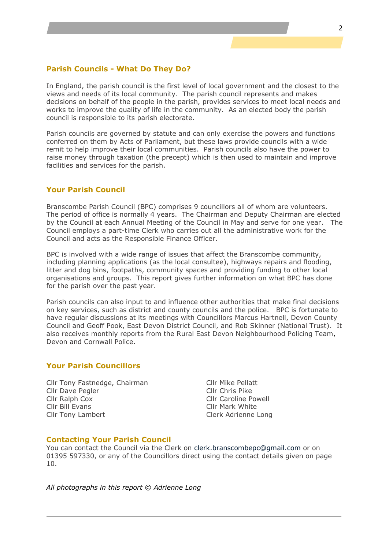#### **Parish Councils - What Do They Do?**

In England, the parish council is the first level of local government and the closest to the views and needs of its local community. The parish council represents and makes decisions on behalf of the people in the parish, provides services to meet local needs and works to improve the quality of life in the community. As an elected body the parish council is responsible to its parish electorate.

Parish councils are governed by statute and can only exercise the powers and functions conferred on them by Acts of Parliament, but these laws provide councils with a wide remit to help improve their local communities. Parish councils also have the power to raise money through taxation (the precept) which is then used to maintain and improve facilities and services for the parish.

#### **Your Parish Council**

Branscombe Parish Council (BPC) comprises 9 councillors all of whom are volunteers. The period of office is normally 4 years. The Chairman and Deputy Chairman are elected by the Council at each Annual Meeting of the Council in May and serve for one year. The Council employs a part-time Clerk who carries out all the administrative work for the Council and acts as the Responsible Finance Officer.

BPC is involved with a wide range of issues that affect the Branscombe community, including planning applications (as the local consultee), highways repairs and flooding, litter and dog bins, footpaths, community spaces and providing funding to other local organisations and groups. This report gives further information on what BPC has done for the parish over the past year.

Parish councils can also input to and influence other authorities that make final decisions on key services, such as district and county councils and the police. BPC is fortunate to have regular discussions at its meetings with Councillors Marcus Hartnell, Devon County Council and Geoff Pook, East Devon District Council, and Rob Skinner (National Trust). It also receives monthly reports from the Rural East Devon Neighbourhood Policing Team, Devon and Cornwall Police.

#### **Your Parish Councillors**

Cllr Tony Fastnedge, Chairman Cllr Dave Pegler Cllr Ralph Cox Cllr Bill Evans Cllr Tony Lambert

Cllr Mike Pellatt Cllr Chris Pike Cllr Caroline Powell Cllr Mark White Clerk Adrienne Long

#### **Contacting Your Parish Council**

You can contact the Council via the Clerk on [clerk.branscombepc@gmail.com](mailto:clerk.branscombepc@gmail.com) or on 01395 597330, or any of the Councillors direct using the contact details given on page 10.

*All photographs in this report © Adrienne Long*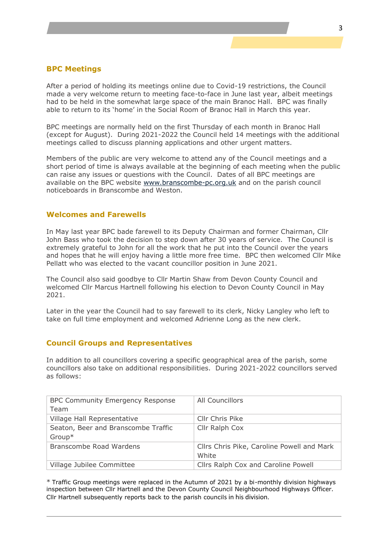#### **BPC Meetings**

After a period of holding its meetings online due to Covid-19 restrictions, the Council made a very welcome return to meeting face-to-face in June last year, albeit meetings had to be held in the somewhat large space of the main Branoc Hall. BPC was finally able to return to its 'home' in the Social Room of Branoc Hall in March this year.

BPC meetings are normally held on the first Thursday of each month in Branoc Hall (except for August). During 2021-2022 the Council held 14 meetings with the additional meetings called to discuss planning applications and other urgent matters.

Members of the public are very welcome to attend any of the Council meetings and a short period of time is always available at the beginning of each meeting when the public can raise any issues or questions with the Council. Dates of all BPC meetings are available on the BPC website [www.branscombe-pc.org.uk](http://www.branscombe-pc.org.uk/) and on the parish council noticeboards in Branscombe and Weston.

#### **Welcomes and Farewells**

In May last year BPC bade farewell to its Deputy Chairman and former Chairman, Cllr John Bass who took the decision to step down after 30 years of service. The Council is extremely grateful to John for all the work that he put into the Council over the years and hopes that he will enjoy having a little more free time. BPC then welcomed Cllr Mike Pellatt who was elected to the vacant councillor position in June 2021.

The Council also said goodbye to Cllr Martin Shaw from Devon County Council and welcomed Cllr Marcus Hartnell following his election to Devon County Council in May 2021.

Later in the year the Council had to say farewell to its clerk, Nicky Langley who left to take on full time employment and welcomed Adrienne Long as the new clerk.

#### **Council Groups and Representatives**

In addition to all councillors covering a specific geographical area of the parish, some councillors also take on additional responsibilities. During 2021-2022 councillors served as follows:

| <b>BPC Community Emergency Response</b><br>Team | All Councillors                                     |
|-------------------------------------------------|-----------------------------------------------------|
| Village Hall Representative                     | Cllr Chris Pike                                     |
| Seaton, Beer and Branscombe Traffic             | Cllr Ralph Cox                                      |
| $Group*$                                        |                                                     |
| Branscombe Road Wardens                         | Cllrs Chris Pike, Caroline Powell and Mark<br>White |
| Village Jubilee Committee                       | Cllrs Ralph Cox and Caroline Powell                 |

\* Traffic Group meetings were replaced in the Autumn of 2021 by a bi-monthly division highways inspection between Cllr Hartnell and the Devon County Council Neighbourhood Highways Officer. Cllr Hartnell subsequently reports back to the parish councils in his division.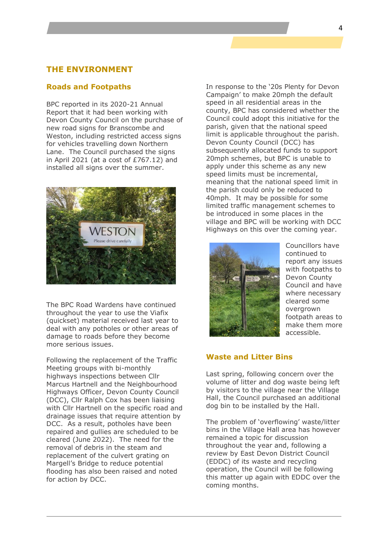#### **THE ENVIRONMENT**

#### **Roads and Footpaths**

BPC reported in its 2020-21 Annual Report that it had been working with Devon County Council on the purchase of new road signs for Branscombe and Weston, including restricted access signs for vehicles travelling down Northern Lane. The Council purchased the signs in April 2021 (at a cost of £767.12) and installed all signs over the summer.



The BPC Road Wardens have continued throughout the year to use the Viafix (quickset) material received last year to deal with any potholes or other areas of damage to roads before they become more serious issues.

Following the replacement of the Traffic Meeting groups with bi-monthly highways inspections between Cllr Marcus Hartnell and the Neighbourhood Highways Officer, Devon County Council (DCC), Cllr Ralph Cox has been liaising with Cllr Hartnell on the specific road and drainage issues that require attention by DCC. As a result, potholes have been repaired and gullies are scheduled to be cleared (June 2022). The need for the removal of debris in the steam and replacement of the culvert grating on Margell's Bridge to reduce potential flooding has also been raised and noted for action by DCC.

In response to the '20s Plenty for Devon Campaign' to make 20mph the default speed in all residential areas in the county, BPC has considered whether the Council could adopt this initiative for the parish, given that the national speed limit is applicable throughout the parish. Devon County Council (DCC) has subsequently allocated funds to support 20mph schemes, but BPC is unable to apply under this scheme as any new speed limits must be incremental, meaning that the national speed limit in the parish could only be reduced to 40mph. It may be possible for some limited traffic management schemes to be introduced in some places in the village and BPC will be working with DCC Highways on this over the coming year.



Councillors have continued to report any issues with footpaths to Devon County Council and have where necessary cleared some overgrown footpath areas to make them more accessible.

#### **Waste and Litter Bins**

Last spring, following concern over the volume of litter and dog waste being left by visitors to the village near the Village Hall, the Council purchased an additional dog bin to be installed by the Hall.

The problem of 'overflowing' waste/litter bins in the Village Hall area has however remained a topic for discussion throughout the year and, following a review by East Devon District Council (EDDC) of its waste and recycling operation, the Council will be following this matter up again with EDDC over the coming months.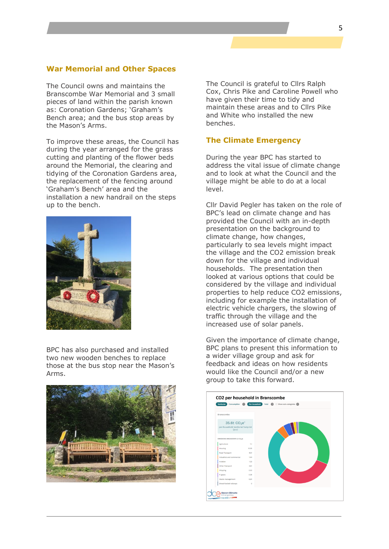#### **War Memorial and Other Spaces**

The Council owns and maintains the Branscombe War Memorial and 3 small pieces of land within the parish known as: Coronation Gardens; 'Graham's Bench area; and the bus stop areas by the Mason's Arms.

To improve these areas, the Council has during the year arranged for the grass cutting and planting of the flower beds around the Memorial, the clearing and tidying of the Coronation Gardens area, the replacement of the fencing around 'Graham's Bench' area and the installation a new handrail on the steps up to the bench.



BPC has also purchased and installed two new wooden benches to replace those at the bus stop near the Mason's Arms.



The Council is grateful to Cllrs Ralph Cox, Chris Pike and Caroline Powell who have given their time to tidy and maintain these areas and to Cllrs Pike and White who installed the new benches.

#### **The Climate Emergency**

During the year BPC has started to address the vital issue of climate change and to look at what the Council and the village might be able to do at a local level.

Cllr David Pegler has taken on the role of BPC's lead on climate change and has provided the Council with an in-depth presentation on the background to climate change, how changes, particularly to sea levels might impact the village and the CO2 emission break down for the village and individual households. The presentation then looked at various options that could be considered by the village and individual properties to help reduce CO2 emissions, including for example the installation of electric vehicle chargers, the slowing of traffic through the village and the increased use of solar panels.

Given the importance of climate change, BPC plans to present this information to a wider village group and ask for feedback and ideas on how residents would like the Council and/or a new group to take this forward.

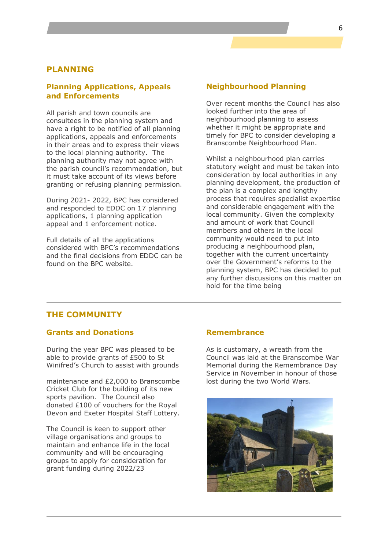#### **PLANNING**

#### **Planning Applications, Appeals and Enforcements**

All parish and town councils are consultees in the planning system and have a right to be notified of all planning applications, appeals and enforcements in their areas and to express their views to the local planning authority. The planning authority may not agree with the parish council's recommendation, but it must take account of its views before granting or refusing planning permission.

During 2021- 2022, BPC has considered and responded to EDDC on 17 planning applications, 1 planning application appeal and 1 enforcement notice.

Full details of all the applications considered with BPC's recommendations and the final decisions from EDDC can be found on the BPC website.

#### **Neighbourhood Planning**

Over recent months the Council has also looked further into the area of neighbourhood planning to assess whether it might be appropriate and timely for BPC to consider developing a Branscombe Neighbourhood Plan.

Whilst a neighbourhood plan carries statutory weight and must be taken into consideration by local authorities in any planning development, the production of the plan is a complex and lengthy process that requires specialist expertise and considerable engagement with the local community. Given the complexity and amount of work that Council members and others in the local community would need to put into producing a neighbourhood plan, together with the current uncertainty over the Government's reforms to the planning system, BPC has decided to put any further discussions on this matter on hold for the time being

#### **THE COMMUNITY**

#### **Grants and Donations**

During the year BPC was pleased to be able to provide grants of £500 to St Winifred's Church to assist with grounds

maintenance and £2,000 to Branscombe Cricket Club for the building of its new sports pavilion. The Council also donated £100 of vouchers for the Royal Devon and Exeter Hospital Staff Lottery.

The Council is keen to support other village organisations and groups to maintain and enhance life in the local community and will be encouraging groups to apply for consideration for grant funding during 2022/23

#### **Remembrance**

As is customary, a wreath from the Council was laid at the Branscombe War Memorial during the Remembrance Day Service in November in honour of those lost during the two World Wars.

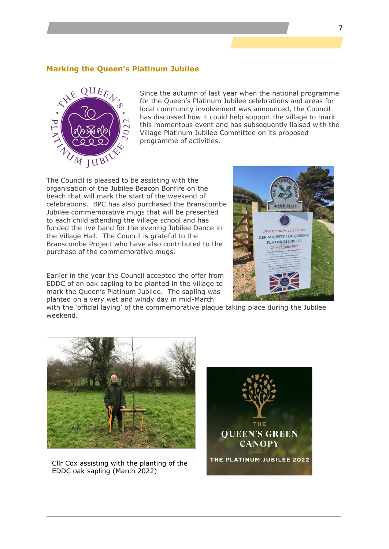#### **Marking the Queen's Platinum Jubilee**



Since the autumn of last year when the national programme for the Queen's Platinum Jubilee celebrations and areas for local community involvement was announced, the Council has discussed how it could help support the village to mark this momentous event and has subsequently liaised with the Village Platinum Jubilee Committee on its proposed programme of activities.

The Council is pleased to be assisting with the organisation of the Jubilee Beacon Bonfire on the beach that will mark the start of the weekend of celebrations. BPC has also purchased the Branscombe Jubilee commemorative mugs that will be presented to each child attending the village school and has funded the live band for the evening Jubilee Dance in the Village Hall. The Council is grateful to the Branscombe Project who have also contributed to the purchase of the commemorative mugs.

Earlier in the year the Council accepted the offer from EDDC of an oak sapling to be planted in the village to mark the Queen's Platinum Jubilee. The sapling was planted on a very wet and windy day in mid-March

with the 'official laying' of the commemorative plaque taking place during the Jubilee weekend.



Cllr Cox assisting with the planting of the EDDC oak sapling (March 2022)



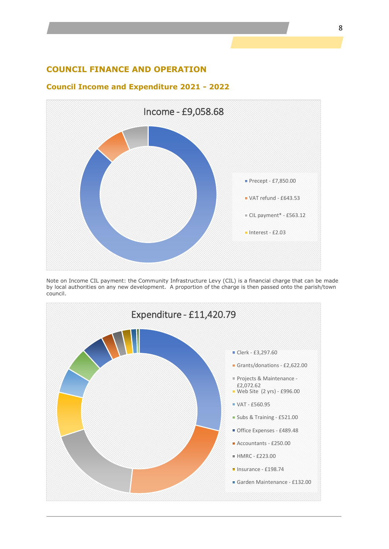#### **COUNCIL FINANCE AND OPERATION**

#### **Council Income and Expenditure 2021 - 2022**



Note on Income CIL payment: the Community Infrastructure Levy (CIL) is a financial charge that can be made by local authorities on any new development. A proportion of the charge is then passed onto the parish/town council.

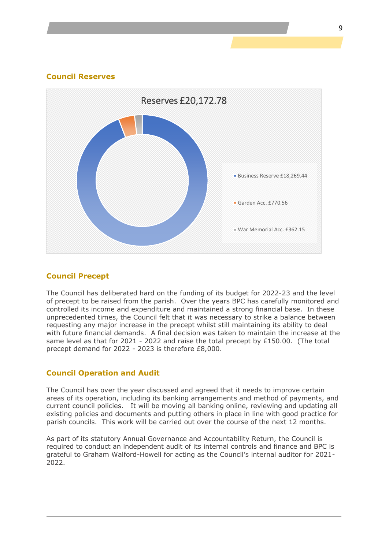#### **Council Reserves**



#### **Council Precept**

The Council has deliberated hard on the funding of its budget for 2022-23 and the level of precept to be raised from the parish. Over the years BPC has carefully monitored and controlled its income and expenditure and maintained a strong financial base. In these unprecedented times, the Council felt that it was necessary to strike a balance between requesting any major increase in the precept whilst still maintaining its ability to deal with future financial demands. A final decision was taken to maintain the increase at the same level as that for 2021 - 2022 and raise the total precept by £150.00. (The total precept demand for 2022 - 2023 is therefore £8,000.

#### **Council Operation and Audit**

The Council has over the year discussed and agreed that it needs to improve certain areas of its operation, including its banking arrangements and method of payments, and current council policies. It will be moving all banking online, reviewing and updating all existing policies and documents and putting others in place in line with good practice for parish councils. This work will be carried out over the course of the next 12 months.

As part of its statutory Annual Governance and Accountability Return, the Council is required to conduct an independent audit of its internal controls and finance and BPC is grateful to Graham Walford-Howell for acting as the Council's internal auditor for 2021- 2022.